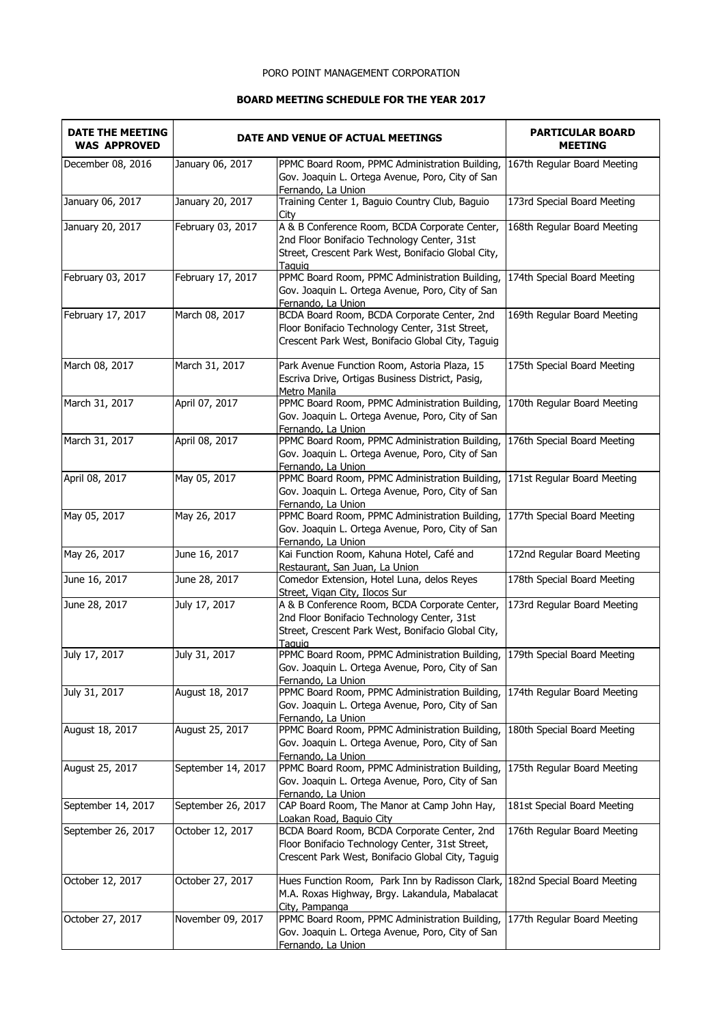## PORO POINT MANAGEMENT CORPORATION

## **BOARD MEETING SCHEDULE FOR THE YEAR 2017**

| <b>DATE THE MEETING</b><br><b>WAS APPROVED</b> | DATE AND VENUE OF ACTUAL MEETINGS |                                                                                                                                                              | <b>PARTICULAR BOARD</b><br><b>MEETING</b> |
|------------------------------------------------|-----------------------------------|--------------------------------------------------------------------------------------------------------------------------------------------------------------|-------------------------------------------|
| December 08, 2016                              | January 06, 2017                  | PPMC Board Room, PPMC Administration Building,<br>Gov. Joaquin L. Ortega Avenue, Poro, City of San<br>Fernando, La Union                                     | 167th Regular Board Meeting               |
| January 06, 2017                               | January 20, 2017                  | Training Center 1, Baguio Country Club, Baguio<br>City                                                                                                       | 173rd Special Board Meeting               |
| January 20, 2017                               | February 03, 2017                 | A & B Conference Room, BCDA Corporate Center,<br>2nd Floor Bonifacio Technology Center, 31st<br>Street, Crescent Park West, Bonifacio Global City,<br>Taguig | 168th Regular Board Meeting               |
| February 03, 2017                              | February 17, 2017                 | PPMC Board Room, PPMC Administration Building,<br>Gov. Joaquin L. Ortega Avenue, Poro, City of San<br>Fernando, La Union                                     | 174th Special Board Meeting               |
| February 17, 2017                              | March 08, 2017                    | BCDA Board Room, BCDA Corporate Center, 2nd<br>Floor Bonifacio Technology Center, 31st Street,<br>Crescent Park West, Bonifacio Global City, Taguig          | 169th Regular Board Meeting               |
| March 08, 2017                                 | March 31, 2017                    | Park Avenue Function Room, Astoria Plaza, 15<br>Escriva Drive, Ortigas Business District, Pasig,<br>Metro Manila                                             | 175th Special Board Meeting               |
| March 31, 2017                                 | April 07, 2017                    | PPMC Board Room, PPMC Administration Building,<br>Gov. Joaquin L. Ortega Avenue, Poro, City of San<br>Fernando, La Union                                     | 170th Regular Board Meeting               |
| March 31, 2017                                 | April 08, 2017                    | PPMC Board Room, PPMC Administration Building,<br>Gov. Joaquin L. Ortega Avenue, Poro, City of San<br>Fernando, La Union                                     | 176th Special Board Meeting               |
| April 08, 2017                                 | May 05, 2017                      | PPMC Board Room, PPMC Administration Building,<br>Gov. Joaquin L. Ortega Avenue, Poro, City of San<br>Fernando, La Union                                     | 171st Regular Board Meeting               |
| May 05, 2017                                   | May 26, 2017                      | PPMC Board Room, PPMC Administration Building,<br>Gov. Joaquin L. Ortega Avenue, Poro, City of San<br>Fernando, La Union                                     | 177th Special Board Meeting               |
| May 26, 2017                                   | June 16, 2017                     | Kai Function Room, Kahuna Hotel, Café and<br>Restaurant, San Juan, La Union                                                                                  | 172nd Regular Board Meeting               |
| June 16, 2017                                  | June 28, 2017                     | Comedor Extension, Hotel Luna, delos Reyes<br>Street, Vigan City, Ilocos Sur                                                                                 | 178th Special Board Meeting               |
| June 28, 2017                                  | July 17, 2017                     | A & B Conference Room, BCDA Corporate Center,<br>2nd Floor Bonifacio Technology Center, 31st<br>Street, Crescent Park West, Bonifacio Global City,<br>Taguig | 173rd Regular Board Meeting               |
| July 17, 2017                                  | July 31, 2017                     | PPMC Board Room, PPMC Administration Building, 179th Special Board Meeting<br>Gov. Joaquin L. Ortega Avenue, Poro, City of San<br>Fernando, La Union         |                                           |
| July 31, 2017                                  | August 18, 2017                   | PPMC Board Room, PPMC Administration Building,<br>Gov. Joaquin L. Ortega Avenue, Poro, City of San<br>Fernando, La Union                                     | 174th Regular Board Meeting               |
| August 18, 2017                                | August 25, 2017                   | PPMC Board Room, PPMC Administration Building,<br>Gov. Joaquin L. Ortega Avenue, Poro, City of San<br>Fernando, La Union                                     | 180th Special Board Meeting               |
| August 25, 2017                                | September 14, 2017                | PPMC Board Room, PPMC Administration Building,<br>Gov. Joaquin L. Ortega Avenue, Poro, City of San<br>Fernando, La Union                                     | 175th Regular Board Meeting               |
| September 14, 2017                             | September 26, 2017                | CAP Board Room, The Manor at Camp John Hay,<br>Loakan Road, Baguio City                                                                                      | 181st Special Board Meeting               |
| September 26, 2017                             | October 12, 2017                  | BCDA Board Room, BCDA Corporate Center, 2nd<br>Floor Bonifacio Technology Center, 31st Street,<br>Crescent Park West, Bonifacio Global City, Taguig          | 176th Regular Board Meeting               |
| October 12, 2017                               | October 27, 2017                  | Hues Function Room, Park Inn by Radisson Clark,<br>M.A. Roxas Highway, Brgy. Lakandula, Mabalacat<br>City, Pampanga                                          | 182nd Special Board Meeting               |
| October 27, 2017                               | November 09, 2017                 | PPMC Board Room, PPMC Administration Building,<br>Gov. Joaquin L. Ortega Avenue, Poro, City of San<br>Fernando, La Union                                     | 177th Regular Board Meeting               |